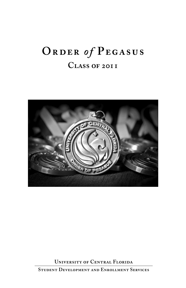# **Order** *of* **Pegasus Class of 2011**



**University of Central Florida**

**Student Development and Enrollment Services**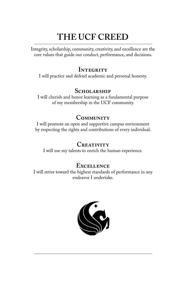# **THE UCF CREED**

Integrity, scholarship, community, creativity, and excellence are the core values that guide our conduct, performance, and decisions.

## **INTEGRITY**

I will practice and defend academic and personal honesty.

## **Scholarship**

I will cherish and honor learning as a fundamental purpose of my membership in the UCF community.

## **Community**

I will promote an open and supportive campus environment by respecting the rights and contributions of every individual.

## **Creativity**

I will use my talents to enrich the human experience.

## **Excellence**

I will strive toward the highest standards of performance in any endeavor I undertake.

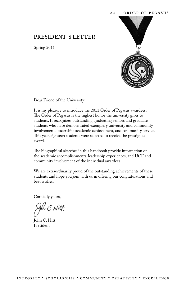### **president 's letter**

Spring 2011



Dear Friend of the University:

It is my pleasure to introduce the 2011 Order of Pegasus awardees. The Order of Pegasus is the highest honor the university gives to students. It recognizes outstanding graduating seniors and graduate students who have demonstrated exemplary university and community involvement, leadership, academic achievement, and community service. This year, eighteen students were selected to receive the prestigious award.

The biographical sketches in this handbook provide information on the academic accomplishments, leadership experiences, and UCF and community involvement of the individual awardees.

We are extraordinarily proud of the outstanding achievements of these students and hope you join with us in offering our congratulations and best wishes.

Cordially yours,

John C. Hitt President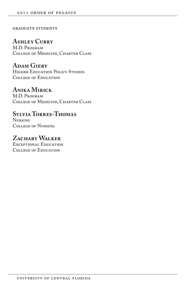### graduate students

## **Ashley Curry**

M.D. Program College of Medicine, Charter Class

## **Adam Giery**

HIGHER EDUCATION POLICY STUDIES College of Education

## **Anika Mirick**

M.D. Program College of Medicine, Charter Class

## **Sylvia Torres-Thomas**

Nursing College of Nursing

## **Zachary Walker**

Exceptional Education COLLEGE OF EDUCATION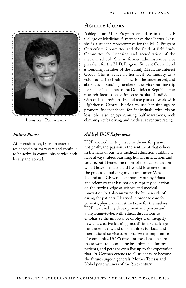

Lewistown, Pennsylvania

After graduation, I plan to enter a residency in primary care and continue to be active in community service both locally and abroad.

## **Ashley Curry**

Ashley is an M.D. Program candidate in the UCF College of Medicine. A member of the Charter Class, she is a student representative for the M.D. Program Curriculum Committee and the Student Self-Study Committee for licensing and accreditation of the medical school. She is former administrative vice president for the M.D. Program Student Council and a founding member of the Family Medicine Interest Group. She is active in her local community as a volunteer at free health clinics for the underserved, and abroad as a founding member of a service-learning trip for medical students to the Dominican Republic. Her research focuses on vision care habits of individuals with diabetic retinopathy, and she plans to work with Lighthouse Central Florida to use her findings to promote independence for individuals with vision loss. She also enjoys running half-marathons, rock climbing, scuba diving and medical adventure racing.

### *Ashley's UCF Experience:*

UCF allowed me to pursue medicine for passion, not profit, and passion is the sentiment that echoes in the halls of our new medical education building. I have always valued learning, human interaction, and service, but I feared the rigors of medical education would leave me jaded and I would lose myself in the process of building my future career. What I found at UCF was a community of physicians and scientists that has not only kept my education on the cutting-edge of science and medical innovation, but also nurtured the human side of caring for patients. I learned in order to care for patients, physicians must first care for themselves. UCF nurtured my development as a person and a physician-to-be, with ethical discussions to emphasize the importance of physician integrity, new and creative learning modalities to challenge me academically, and opportunities for local and international service to emphasize the importance of community. UCF's drive for excellence inspires me to work to become the best physician for my patients, and perhaps even live up to the expectation that Dr. German extends to all students: to become the future surgeon generals, Mother Teresas and Nobel prize winners of the 21st century.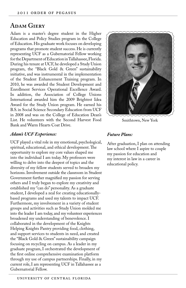## **Adam Giery**

Adam is a master's degree student in the Higher Education and Policy Studies program in the College of Education. His graduate work focuses on developing programs that promote student success. He is currently representing UCF as a Gubernatorial Fellow working for the Department of Education in Tallahassee, Florida. During his tenure at UCF, he developed a Study Union program, the "Black Gold & Green" sustainability initiative, and was instrumental in the implementation of the Student Enhancement Training program. In 2010, he was awarded the Student Development and Enrollment Services Operational Excellence Award. In addition, the Association of College Unions International awarded him the 2009 Brightest Idea Award for the Study Union program. He earned his B.S. in Social Science Secondary Education from UCF in 2008 and was on the College of Education Dean's List. He volunteers with the Second Harvest Food Bank and Warm Hearts Coat Drive.

#### *Adam's UCF Experience:*

UCF played a vital role in my emotional, psychological, spiritual, educational, and ethical development. The opportunity to explore my core values shaped me into the individual I am today. My professors were willing to delve into the deepest of topics and the diversity of my fellow students served to broaden my horizons. Involvement outside the classroom in Student Government further magnified my passion for serving others and I truly began to explore my creativity and established my "can do" personality. As a graduate student, I developed a zeal for creating educationallybased programs and used my talents to impact UCF. Furthermore, my involvement in a variety of student groups and activities such as Study Union molded me into the leader I am today, and my volunteer experiences broadened my understanding of benevolence. I collaborated in the development of the Knights Helping Knights Pantry providing food, clothing, and support services to students in need, and created the "Black Gold & Green" sustainability campaign focusing on recycling on campus. As a leader in my graduate program, I orchestrated the development of the first online comprehensive examination platform through my use of campus partnerships. Finally, in my current role, I am representing UCF in Tallahassee as a Gubernatorial Fellow.



Smithtown, New York

#### *Future Plans:*

After graduation, I plan on attending law school where I aspire to couple my passion for education and my interest in law in a career in educational policy.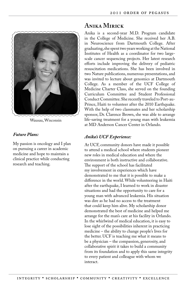

Wausau, Wisconsin

My passion is oncology and I plan on pursuing a career in academic medicine and hope to maintain a clinical practice while conducting research and teaching.

## **Anika Mirick**

Anika is a second-year M.D. Program candidate in the College of Medicine. She received her A.B. in Neuroscience from Dartmouth College. After graduating, she spent two years working at the National Institutes of Health as a coordinator for two largescale cancer sequencing projects. Her latest research efforts include improving the delivery of pediatric resuscitation medications. She has been involved in two Nature publications, numerous presentations, and was invited to lecture about genomics at Dartmouth College. As a member of the UCF College of Medicine Charter Class, she served on the founding Curriculum Committee and Student Professional Conduct Committee. She recently traveled to Port-au-Prince, Haiti to volunteer after the 2010 Earthquake. With the help of two classmates and her scholarship sponsor, Dr. Clarence Brown, she was able to arrange life-saving treatment for a young man with leukemia at MD Anderson Cancer Center in Orlando.

### *Anika's UCF Experience:*

At UCF, community donors have made it possible to attend a medical school where students pioneer new roles in medical education and where the environment is both instructive and collaborative. The support of the school has facilitated my involvement in experiences which have demonstrated to me that it is possible to make a difference in the world. While volunteering in Haiti after the earthquake, I learned to work in disaster situations and had the opportunity to care for a young man with advanced leukemia. His situation was dire as he had no access to the treatment that could keep him alive. My scholarship donor demonstrated the best of medicine and helped me arrange for the man's care at his facility in Orlando. In the whirlwind of medical education, it is easy to lose sight of the possibilities inherent in practicing medicine – the ability to change people's lives for the better. UCF is teaching me what it means to be a physician – the compassion, generosity, and collaborative spirit it takes to build a community from its foundation and to apply this same integrity to every patient and colleague with whom we interact.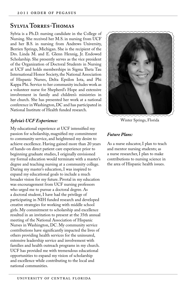## **Sylvia Torres-Thomas**

Sylvia is a Ph.D. nursing candidate in the College of Nursing. She received her M.S. in nursing from UCF and her B.S. in nursing from Andrews University, Berrien Springs, Michigan. She is the recipient of the Drs. Linda M. and E. Glenn Hennig, Jr. Endowed Scholarship. She presently serves as the vice president of the Organization of Doctoral Students in Nursing at UCF and holds memberships in Sigma Theta Tau International Honor Society, the National Association of Hispanic Nurses, Delta Epsilon Iota, and Phi Kappa Phi. Service to her community includes work as a volunteer nurse for Shepherd's Hope and extensive involvement in family and children's ministries in her church. She has presented her work at a national conference in Washington, DC and has participated in National Institute of Health funded research.

### *Sylvia's UCF Experience:*

My educational experience at UCF intensified my passion for scholarship, magnified my commitment to community service, and heightened my desire to achieve excellence. Having gained more than 20 years of hands-on direct patient care experience prior to beginning graduate studies, I originally envisioned my formal education would terminate with a master's degree and teaching nursing at a community college. During my master's education, I was inspired to expand my educational goals to include a much broader vision for my future. Pivotal in my education was encouragement from UCF nursing professors who urged me to pursue a doctoral degree. As a doctoral student, I have had the privilege of participating in NIH funded research and developed creative strategies for working with middle school girls. My commitment to scholarship and excellence resulted in an invitation to present at the 35th annual meeting of the National Association of Hispanic Nurses in Washington, DC. My community service contributions have significantly impacted the lives of others providing health services for the uninsured, extensive leadership service and involvement with families and health outreach programs in my church. UCF has provided me with tremendous educational opportunities to expand my vision of scholarship and excellence while contributing to the local and national communities.



#### *Future Plans:*

As a nurse educator, I plan to teach and mentor nursing students; as a nurse researcher, I plan to make contributions to nursing science in the area of Hispanic health issues.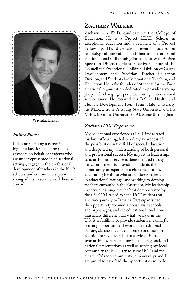

Wichita, Kansas

I plan on pursuing a career in higher education enabling me to advocate on behalf of students who are underrepresented in educational settings, engage in the professional development of teachers in the K-12 schools, and continue to support young adults in service work here and abroad.

## **Zachary Walker**

Zachary is a Ph.D. candidate in the College of Education. He is a Project LEAD Scholar in exceptional education and a recipient of a Provost Fellowship. His dissertation research focuses on technological innovations and their impact on social and functional skill training for students with Autism Spectrum Disorders. He is an active member of the Council for Exceptional Children, Division of Career Development and Transition, Teacher Education Division, and Students for International Teaching and Education. He is the founder of Students for the Poor, a national organization dedicated to providing young people life-changing experiences through international service work. He received his B.S. in Health and Human Development from Penn State University, his M.B.A. from Pittsburg State University, and his M.Ed. from the University of Alabama-Birmingham.

### *Zachary's UCF Experience:*

My educational experience at UCF invigorated my love of learning, bolstered my awareness of the possibilities in the field of special education, and deepened my understanding of both personal and professional success. My impact in leadership, scholarship, and service is demonstrated through my commitment to providing students the opportunity to experience a global education, advocating for those who are underrepresented in educational settings, and working to develop teachers currently in the classroom. My leadership in service learning may be best demonstrated by the \$24,000 I raised to send UCF students on a service journey to Jamaica. Participants had the opportunity to build a house, visit schools and orphanages, and see educational conditions drastically different than what we have in the U.S. It is fulfilling to provide students meaningful learning opportunities beyond our traditional culture, classroom, and economic condition. In addition to my leadership in service, I impact scholarship by participating in state, regional, and national presentations as well as serving my local community at UCF. I try to serve UCF and the greater Orlando community in many ways and I am proud to have had the opportunities so to do.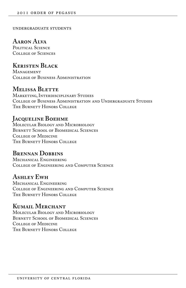undergraduate students

## **Aaron Alva**

POLITICAL SCIENCE College of Sciences

## **Keristen Black**

**MANAGEMENT** College of Business Administration

## **Melissa Blette**

Marketing, Interdisciplinary Studies College of Business Administration and Undergraduate Studies THE BURNETT HONORS COLLEGE

## **Jacqueline Boehme**

Molecular Biology and Microbiology BURNETT SCHOOL OF BIOMEDICAL SCIENCES College of Medicine The Burnett Honors College

## **Brennan Dobbins**

Mechanical Engineering College of Engineering and Computer Science

## **Ashley Ewh**

Mechanical Engineering College of Engineering and Computer Science The Burnett Honors College

## **Kumail Merchant**

Molecular Biology and Microbiology BURNETT SCHOOL OF BIOMEDICAL SCIENCES College of Medicine THE BURNETT HONORS COLLEGE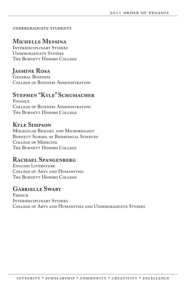#### undergraduate students

## **Michelle Messina**

Interdisciplinary Studies Undergraduate Studies The Burnett Honors College

## **Jasmine Rosa**

General Business College of Business Administration

## **Stephen "Kyle" Schumacher**

**FINANCE** College of Business Administration THE BURNETT HONORS COLLEGE

## **Kyle Simpson**

Molecular Biology and Microbiology BURNETT SCHOOL OF BIOMEDICAL SCIENCES College of Medicine The Burnett Honors College

## **Rachael Spangenberg**

English Literature College of Arts and Humanities THE BURNETT HONORS COLLEGE

## **Gabrielle Swaby**

**FRENCH** Interdisciplinary Studies College of Arts and Humanities and Undergraduate Studies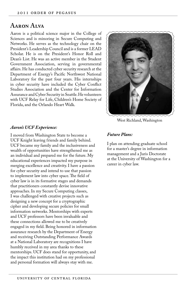## **Aaron Alva**

Aaron is a political science major in the College of Sciences and is minoring in Secure Computing and Networks. He serves as the technology chair on the President's Leadership Council and is a former LEAD Scholar. He is on the President's Honor Roll and Dean's List. He was an active member in the Student Government Association, serving in governmental affairs. He has conducted cyber security research at the Department of Energy's Pacific Northwest National Laboratory for the past four years. His internships in cyber security have included the Cyber Conflict Studies Association and the Center for Information Assurance and Cyber Security in Seattle. He volunteers with UCF Relay for Life, Children's Home Society of Florida, and the Orlando Heart Walk.



West Richland, Washington

#### *Aaron's UCF Experience:*

I moved from Washington State to become a UCF Knight leaving friends and family behind. UCF became my family and the inclusiveness and wealth of opportunities have strengthened me as an individual and prepared me for the future. My educational experiences impacted my purpose in merging excellence and creativity. I have a passion for cyber security and intend to use that passion to implement law into cyber space. The field of cyber law is in its formative stages and demands that practitioners constantly devise innovative approaches. In my Secure Computing classes, I was challenged with creative projects such as designing a new concept for a cryptographic cipher and developing secure policies for small information networks. Mentorships with experts and UCF professors have been invaluable and these connections allowed me to be creatively engaged in my field. Being honored in information assurance research by the Department of Energy and receiving Outstanding Performance Awards at a National Laboratory are recognitions I have humbly received in my area thanks to these mentorships. UCF does stand for opportunity, and the impact this institution had on my professional and personal formation will always stay with me.

#### *Future Plans:*

I plan on attending graduate school for a master's degree in information management and a Juris Doctorate at the University of Washington for a career in cyber law.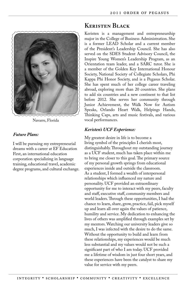

Navarre, Florida

I will be pursuing my entrepreneurial dreams with a career at EF Education First, an international education corporation specializing in language training, educational travel, academic degree programs, and cultural exchange.

## **Keristen Black**

Keristen is a management and entrepreneurship major in the College of Business Administration. She is a former LEAD Scholar and a current member of the President's Leadership Council. She has also served on the SDES Student Advisory Council, the Inspire Young Women's Leadership Program, as an Orientation team leader, and a SARC tutor. She is a member of the Golden Key International Honour Society, National Society of Collegiate Scholars, Phi Kappa Phi Honor Society, and is a Pegasus Scholar. She has spent much of her college career traveling abroad, exploring more than 20 countries. She plans to add six countries and a new continent to that list before 2012. She serves her community through Junior Achievement, the Walk Now for Autism Speaks, Orlando Heart Walk, Helpings Hands, Thinking Caps, arts and music festivals, and various vocal performances.

### *Keristen's UCF Experience:*

My greatest desire in life is to become a living symbol of the principles I cherish most, distinguishably. Throughout my outstanding journey as a UCF student, much has taken place within me to bring me closer to this goal. The primary source of my personal growth springs from educational experiences inside and outside the classroom. As a student, I formed a wealth of interpersonal relationships which influenced my nature and personality. UCF provided an extraordinary opportunity for me to interact with my peers, faculty and staff, executive staff, community members and world leaders. Through these opportunities, I had the chance to learn, share, grow, practice, fail, pick myself up and learn all over again the values of patience, humility and service. My dedication to enhancing the lives of others was amplified through examples set by my mentors. Watching our university leaders give so much, I was infected with the desire to do the same. Without the opportunity to build and learn from these relationships, my experiences would be much less substantial and my values would not be such a significant part of who I am today. UCF provided me a lifetime of wisdom in just four short years, and these experiences have been the catalyst to share my value for service with my peers.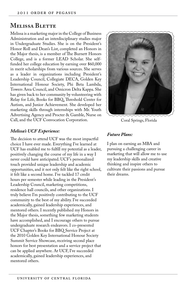## **Melissa Blette**

Melissa is a marketing major in the College of Business Administration and an interdisciplinary studies major in Undergraduate Studies. She is on the President's Honor Roll and Dean's List, completed an Honors in the Major thesis, is a member of The Burnett Honors College, and is a former LEAD Scholar. She selffunded her college education by earning over \$60,000 in merit scholarships from various sources. She serves as a leader in organizations including President's Leadership Council, Collegiate DECA, Golden Key International Honour Society, Phi Beta Lambda, Towers Area Council, and Omicron Delta Kappa. She has given back to her community by volunteering with Relay for Life, Books for BBQ, Threshold Center for Autism, and Junior Achievement. She developed her marketing skills through internships with Mr. Youth Advertising Agency and Procter & Gamble, Nurse on Call, and the UCF Convocation Corporation.

### *Melissa's UCF Experience:*

The decision to attend UCF was the most impactful choice I have ever made. Everything I've learned at UCF has enabled me to fulfill my potential as a leader, positively changing the course of my life in a way I never could have anticipated. UCF's personalized touch provided unique leadership and academic opportunities, and it not only felt like the right school, it felt like a second home. I've tackled 17 credit hours per semester while leading in the President's Leadership Council, marketing competitions, residence hall councils, and other organizations. I truly believe I'm positively contributing to the UCF community to the best of my ability. I've succeeded academically, gained leadership experiences, and mentored others. I recently published my Honors in the Major thesis, something few marketing students have accomplished, and I encourage others to pursue undergraduate research endeavors. I co-presented UCF Chapter's Books for BBQ Service Project at the 2010 Golden Key International Honour Society Summit Service Showcase, receiving second place honors for best presentation and a service project that can be applied anywhere. At UCF, I've succeeded academically, gained leadership experiences, and mentored others.



Coral Springs, Florida

#### *Future Plans:*

I plan on earning an MBA and pursuing a challenging career in marketing that will allow me to use my leadership skills and creative thinking and inspire others to cultivate their passions and pursue their dreams.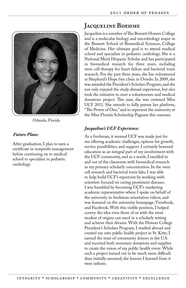

Orlando, Florida

After graduation, I plan to earn a certificate in nonprofit management before continuing on to medical school to specialize in pediatric cardiology.

## **Jacqueline Boehme**

Jacqueline is a member of The Burnett Honors College and is a molecular biology and microbiology major in the Burnett School of Biomedical Sciences, College of Medicine. Her ultimate goal is to attend medical school and specialize in pediatric cardiology. She is a National Merit Hispanic Scholar and has participated in biomedical research for three years, including stem cell therapy for heart failure and bacterial toxin research. For the past three years, she has volunteered at Shepherd's Hope free clinic in Oviedo. In 2009, she was awarded the President's Scholars Program, and she not only enjoyed the study abroad experience, but also took the initiative to start a volunteerism and medical donations project. This year, she was crowned Miss UCF 2011. She intends to fully pursue her platform, "The Power of One," and to represent the university at the Miss Florida Scholarship Pageant this summer.

### *Jacqueline's UCF Experience:*

As a freshman, it seemed UCF was made just for me offering academic challenges, options for growth, service possibilities, and support. I certainly honored education as an integral part of my involvement with the UCF community, and as a result, I excelled in and out of the classroom with biomedical research as my primary scholarly concentration. In the stem cell research and bacterial toxin labs, I was able to help build UCF's repertoire by working with scientists focused on curing prominent diseases. I was humbled by becoming UCF's marketing academic representative where I spoke on behalf of the university in freshman orientation videos, and was featured on the university homepage, Viewbook, and Facebook. With this visible position, I helped convey the idea even those of us with the most modest of origins can excel in a scholarly setting and achieve their dreams. With the Honors College President's Scholars Program, I studied abroad and created my own public health project in St. Kitts; I earned the trust of community donors in the U.S. and received both monetary donations and supplies to create the vision of my public health event. While such a project turned out to be much more difficult than initially assumed, the lessons I learned from it were infinite.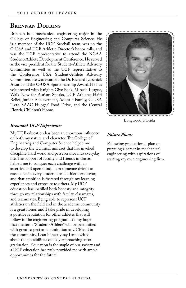## **Brennan Dobbins**

Brennan is a mechanical engineering major in the College of Engineering and Computer Science. He is a member of the UCF Baseball team, was on the C-USA and UCF Athletic Director's honor rolls, and was the UCF representative to attend the NCAA Student-Athlete Development Conference. He served as the vice president for the Student-Athlete Advisory Committee as well as the UCF representative to the Conference USA Student-Athlete Advisory Committee. He was awarded the Dr. Richard Lapchick Award and the C-USA Sportsmanship Award. He has volunteered with Knights Give Back, Miracle League, Walk Now for Autism Speaks, UCF Athletes Haiti Relief, Junior Achievement, Adopt a Family, C-USA 'Let's SAAC Hunger' Food Drive, and the Central Florida Children's Home.



My UCF education has been an enormous influence on both my nature and character. The College of Engineering and Computer Science helped me to develop the technical mindset that has invoked discipline, hard work, and perseverance into everyday life. The support of faculty and friends in classes helped me to conquer each challenge with an assertive and open mind. I am someone driven to excellence in every academic and athletic endeavor, and that ambition is fostered through my learning experiences and exposure to others. My UCF education has instilled both honesty and integrity through my relationships with faculty, classmates, and teammates. Being able to represent UCF athletics on the field and in the academic community is a great honor, and I take pride in developing a positive reputation for other athletes that will follow in the engineering program. It's my hope that the term "Student-Athlete" will be personified with great respect and admiration at UCF and in the community. I can honestly say I am excited about the possibilities quickly approaching after graduation. Education is the staple of our society and a UCF education has truly provided me with ample opportunities for the future.



Longwood, Florida

#### *Future Plans:*

Following graduation, I plan on pursuing a career in mechanical engineering with aspirations of starting my own engineering firm.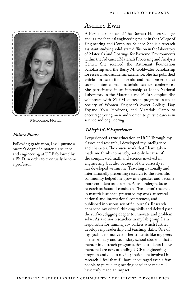

Melbourne, Florida

Following graduation, I will pursue a master's degree in materials science and engineering at UCF followed by a Ph.D. in order to eventually become a professor.

## **Ashley Ewh**

Ashley is a member of The Burnett Honors College and is a mechanical engineering major in the College of Engineering and Computer Science. She is a research assistant studying solid-state diffusion in the laboratory of Materials and Coatings for Extreme Environments within the Advanced Materials Processing and Analysis Center. She received the Astronaut Foundation Scholarship and the Barry M. Goldwater Scholarship for research and academic excellence. She has published articles in scientific journals and has presented at several international materials science conferences. She participated in an internship at Idaho National Laboratory in the Materials and Fuels Complex. She volunteers with STEM outreach programs, such as Society of Women Engineer's Sweet College Day, Expand Your Horizons, and Materials Camp to encourage young men and women to pursue careers in science and engineering.

### *Ashley's UCF Experience:*

I experienced a true education at UCF. Through my classes and research, I developed my intelligence and character. The course work that I have taken made me think intensively, not only because of the complicated math and science involved in engineering, but also because of the curiosity it has developed within me. Traveling nationally and internationally presenting research to the scientific community helped me grow as a speaker and become more confident as a person. As an undergraduate research assistant, I conducted "hands-on" research in materials science, presented my work at several national and international conferences, and published in various scientific journals. Research enhanced my critical thinking skills and delved past the surface, digging deeper to innovate and problem solve. As a senior researcher in my lab group, I am responsible for training co-workers which further develops my leadership and teaching skills. One of my goals is to motivate other students like my peers or the primary and secondary school students that I mentor in outreach programs. Some students I have mentored are now attending UCF's engineering program and due to my inspiration are involved in research. I feel that if I have encouraged even a few people to pursue engineering or science majors, I have truly made an impact.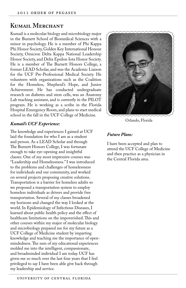## **Kumail Merchant**

Kumail is a molecular biology and microbiology major in the Burnett School of Biomedical Sciences with a minor in psychology. He is a member of Phi Kappa Phi Honor Society, Golden Key International Honour Society, Omicron Delta Kappa National Leadership Honor Society, and Delta Epsilon Iota Honor Society. He is a member of The Burnett Honors College, a former LEAD Scholar, and was the Academic Liaison for the UCF Pre-Professional Medical Society. He volunteers with organizations such as the Coalition for the Homeless, Shepherd's Hope, and Junior Achievement. He has conducted undergraduate research on diabetes and stem cells, was an Anatomy Lab teaching assistant, and is currently in the PILOT program. He is working as a scribe in the Florida Hospital Emergency Room, and plans to start medical school in the fall in the UCF College of Medicine.

#### *Kumail's UCF Experience:*

The knowledge and experiences I gained at UCF laid the foundation for who I am as a student and person. As a LEAD Scholar and through The Burnett Honors College, I was fortunate enough to take eye-opening and insightful classes. One of my most impressive courses was "Leadership and Homelessness." I was introduced to the problems and challenges of homelessness for individuals and our community, and worked on several projects proposing creative solutions. Transportation is a barrier for homeless adults so we proposed a transportation system to employ homeless individuals as drivers and provide free transportation. Several of my classes broadened my horizons and changed the way I looked at the world. In Epidemiology of Infectious Diseases, I learned about public health policy and the effect of healthcare limitations on the impoverished. This and other courses within my major of molecular biology and microbiology prepared me for my future as a UCF College of Medicine student by imparting knowledge and teaching me the importance of openmindedness. The sum of my educational experiences molded me into the intelligent, compassionate, and broadminded individual I am today. UCF has given me so much over the last four years that I feel privileged to say I have been able give back through my leadership and service.



Orlando, Florida

#### *Future Plans:*

I have been accepted and plan to attend the UCF College of Medicine and then practice as a physician in the Central Florida area.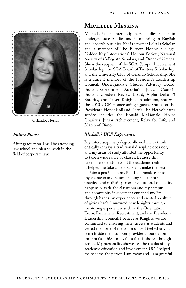

Orlando, Florida

After graduation, I will be attending law school and plan to work in the field of corporate law.

## **Michelle Messina**

Michelle is an interdisciplinary studies major in Undergraduate Studies and is minoring in English and leadership studies. She is a former LEAD Scholar, and a member of The Burnett Honors College, Golden Key International Honour Society, National Society of Collegiate Scholars, and Order of Omega. She is the recipient of the SGA Campus Involvement Scholarship, the SGA Board of Trustees Scholarship, and the University Club of Orlando Scholarship. She is a current member of the President's Leadership Council, Undergraduate Studies Advisory Board, Student Government Association Judicial Council, Student Conduct Review Board, Alpha Delta Pi Sorority, and 4Ever Knights. In addition, she was the 2010 UCF Homecoming Queen. She is on the President's Honor Roll and Dean's List. Her volunteer service includes the Ronald McDonald House Charities, Junior Achievement, Relay for Life, and March of Dimes.

### *Michelle's UCF Experience:*

My interdisciplinary degree allowed me to think critically in ways a traditional discipline does not, and my areas of study afforded the opportunity to take a wide range of classes. Because this discipline extends beyond the academic realm, it helped me take a step back and make the best decisions possible in my life. This translates into my character and nature making me a more practical and realistic person. Educational capability happens outside the classroom and my campus and community involvement enriched my life through hands-on experiences and created a culture of giving back. I nurtured new Knights through mentoring experiences such as the Orientation Team, Panhellenic Recruitment, and the President's Leadership Council. I believe as Knights, we are committed to ensuring their success as students and vested members of the community. I feel what you learn inside the classroom provides a foundation for morals, ethics, and values that is shown through action. My personality showcases the results of my academic education and involvement. UCF helped me become the person I am today and I am grateful.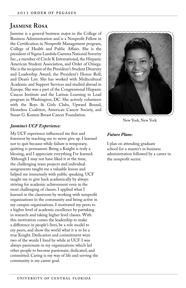## **Jasmine Rosa**

Jasmine is a general business major in the College of Business Administration and is a Nonprofit Fellow in the Certification in Nonprofit Management program, College of Health and Public Affairs. She is the president of Sigma Lambda Gamma National Sorority Inc., a member of Circle K International, the Hispanic American Student Association, and Order of Omega. She is the recipient of the President's Student Diversity and Leadership Award, the President's Honor Roll, and Dean's List. She has worked with Multicultural Academic and Support Services and studied abroad in Europe. She was a part of the Congressional Hispanic Caucus Institute and the Latinas Learning to Lead program in Washington, DC. She actively volunteers with the Boys & Girls Clubs, Upward Bound, Homeless Coalition, American Cancer Society, and Susan G. Komen Breast Cancer Foundation.

### *Jasmine's UCF Experience:*

My UCF experience influenced me first and foremost by teaching me to never give up. I learned not to quit because while failure is temporary, quitting is permanent. Being a Knight is truly a blessing, and I appreciate everything I've learned. Although I may not have liked it at the time, the challenging team projects and individual assignments taught me a valuable lesson and helped me immensely with public speaking. UCF taught me to give back academically by always striving for academic achievement even in the most challenging of classes. I applied what I learned in the classroom by working with nonprofit organizations in the community and being active in my campus organizations. I motivated my peers to a higher level of academic excellence by partaking in research and taking higher level classes. With this motivation comes the leadership to make a difference in people's lives, be a role model to my peers, and show the world what it is to be a true Knight. Dedication and commitment were two of the words I lived by while at UCF. I was always passionate in my organizations which led other people to become passionate, dedicated, and committed. Caring is my way of life and serving the community is my career goal.



New York, New York

### *Future Plans:*

I plan on attending graduate school for a master's in business administration followed by a career in the nonprofit sector.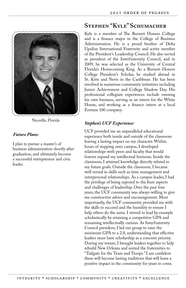

Niceville, Florida

I plan to pursue a master's of business administration shortly after graduation, and ultimately become a successful entrepreneur and civic leader.

### **Stephen "Kyle" Schumacher**

Kyle is a member of The Burnett Honors College and is a finance major in the College of Business Administration. He is a proud brother of Delta Upsilon International Fraternity and active member of the President's Leadership Council. He also served as president of the Interfraternity Council, and in 2009, he was selected as the University of Central Florida's Homecoming King. As a Burnett Honors College President's Scholar, he studied abroad in St. Kitts and Nevis in the Caribbean. He has been involved in numerous community initiatives including Junior Achievement and College Shadow Day. His professional collegiate experiences include running his own business, serving as an intern for the White House, and working as a finance intern at a local Fortune 100 company.

### *Stephen's UCF Experience:*

UCF provided me an unparalleled educational experience both inside and outside of the classroom leaving a lasting impact on my character. Within hours of stepping onto campus, I developed relationships with peers and faculty that would forever expand my intellectual horizons. Inside the classroom, I attained knowledge directly related to my future goals. Outside the classroom, I became well versed in skills such as time management and interpersonal relationships. As a campus leader, I had the privilege of being exposed to the finer aspects and challenges of leadership. Over the past four years, the UCF community was always willing to give me constructive advice and encouragement. Most importantly, the UCF community provided me with the skills to succeed and the humility to ensure I help others do the same. I strived to lead by example scholastically by retaining a competitive GPA and remaining intellectually curious. As Interfraternity Council president, I led our group to raise the minimum GPA to a 2.8, understanding that effective leaders must have scholarship as a concrete priority. During my tenure, I brought leaders together to help rebuild New Orleans and united the fraternities to "Tailgate for the Team and Troops." I am confident these will become lasting traditions that will leave a positive impact in the community for years to come.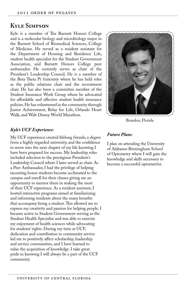### **Kyle Simpson**

Kyle is a member of The Burnett Honors College and is a molecular biology and microbiology major in the Burnett School of Biomedical Sciences, College of Medicine. He served as a resident assistant for the Department of Housing and Residence Life, student health specialist for the Student Government Association, and Burnett Honors College peer ambassador. He currently serves as chair of the President's Leadership Council. He is a member of the Beta Theta Pi fraternity where he has held roles as the public relations chair and the recruitment chair. He has also been a committee member of the Student Insurance Work Group where he advocated for affordable and effective student health insurance policies. He has volunteered in the community through Junior Achievement, Relay for Life, Orlando Heart Walk, and Walt Disney World Marathon.

#### *Kyle's UCF Experience:*

My UCF experience created lifelong friends, a degree from a highly regarded university, and the confidence to move into the next chapter of my life knowing I have been prepared for success. My leadership roles included selection to the prestigious President's Leadership Council where I later served as chair. As a Peer Ambassador, I had the privilege of helping incoming honor students become acclimated to the campus and enroll for their classes giving me an opportunity to mentor them in making the most of their UCF experience. As a resident assistant, I hosted interactive programs aimed at familiarizing and informing residents about the many benefits that accompany being a student. This allowed me to express my creativity and passion for helping people. I became active in Student Government serving as the Student Health Specialist and was able to exercise my enjoyment of health sciences while advocating for students' rights. During my time at UCF, dedication and contribution to community service led me to positively affect scholarship, leadership and service communities, and I have learned to value the acquisition of knowledge. I take great pride in knowing I will always be a part of the UCF community.



Brandon, Florida

#### *Future Plans:*

I plan on attending the University of Alabama-Birmingham School of Optometry where I will gain the knowledge and skills necessary to become a successful optometrist.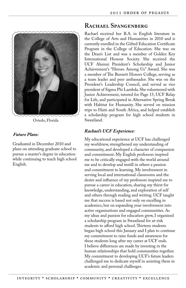

Oviedo, Florida

Graduated in December 2010 and plans on attending graduate school to pursue a master's degree in education while continuing to teach high school English.

### **Rachael Spangenberg**

Rachael received her B.A. in English literature in the College of Arts and Humanities in 2010 and is currently enrolled in the Gifted Education Certificate Program in the College of Education. She was on the Dean's List and was a member of Golden Key International Honour Society. She received the UCF Alumni President's Scholarship and Junior Achievement's "Heroes Among Us" Award. She was a member of The Burnett Honors College, serving as a team leader and peer ambassador. She was on the President's Leadership Council, and served as vice president of Sigma Phi Lambda. She volunteered with Junior Achievement, tutored for Page 15, UCF Relay for Life, and participated in Alternative Spring Break with Habitat for Humanity. She served on mission trips to Haiti and South Africa, and helped establish a scholarship program for high school students in Swaziland.

### *Rachael's UCF Experience:*

My educational experience at UCF has challenged my worldview, strengthened my understanding of community, and developed a character of compassion and commitment. My English professors inspired me to be critically engaged with the world around me and to develop and instill in others a passion and commitment to learning. My involvement in serving local and international classrooms and the desire and influence of my professors inspired me to pursue a career in education, sharing my thirst for knowledge, understanding, and exploration of self and others through reading and writing. UCF taught me that success is based not only on excelling in academics, but on expanding your involvement into active organizations and engaged communities. As my ideas and passion for education grew, I organized a scholarship program in Swaziland for at-risk students to afford high school. Thirteen students began high school this January and I plan to continue my commitment to raise funds and awareness for these students long after my career at UCF ends. I believe differences are made by investing in the human relationships that hold communities together. My commitment to developing UCF's future leaders challenged me to dedicate myself in assisting them in academic and personal challenges.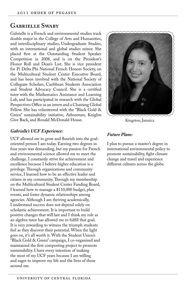### **Gabrielle Swaby**

Gabrielle is a French and environmental studies track double major in the College of Arts and Humanities, and interdisciplinary studies, Undergraduate Studies, with an international and global studies minor. She placed first at the Outstanding Student Speaker Competition in 2008, and is on the President's Honor Roll and Dean's List. She is vice president for Pi Delta Phi National French Honors Society, on the Multicultural Student Center Executive Board, and has been involved with the National Society of Collegiate Scholars, Caribbean Students Association and Student Advocacy Council. She is a certified tutor with the Mathematics Assistance and Learning Lab, and has participated in research with the Global Perspectives Office as an intern and a Chastang Global Fellow. She has volunteered with the "Black Gold & Green" sustainability initiative, Arboretum, Knights Give Back, and Ronald McDonald House.

### *Gabrielle's UCF Experience:*

UCF allowed me to grow and flourish into the goaloriented person I am today. Earning two degrees in four years was demanding, but my passion for French and environmental science allowed me to meet the challenge. I constantly strive for achievement and excellence because I believe higher education is a privilege. Through organizations and community service, I learned how to be an effective leader and citizen in my community. Through my membership on the Multicultural Student Center Funding Board, I learned how to manage a \$110,000 budget, plan events, and foster dynamic relationships among agencies. Although I am thriving academically, I understand success does not depend solely on scholastic achievement. It is important to build positive changes that will last and I think my role as an algebra tutor has allowed me to fulfill that goal. It is very rewarding to witness the triumph students feel as they discover their potential. When the light goes on, it's all worth it. With the Student Union's "Black Gold & Green" campaign, I co-organized and maintained the first composting project to promote sustainability. I have every intention of making the most of my UCF years because I am willing and eager to improve my life and the lives of those around me.



Kingston, Jamaica

#### *Future Plans:*

I plan to pursue a master's degree in international environmental policy to promote sustainability, fight climate change and travel and experience different cultures across the globe.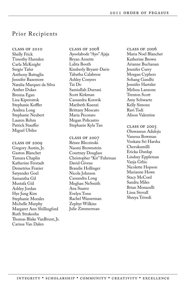### Prior Recipients

class of 2010 Shelly Frick Timothy Harnden Carla McKnight Sergio Tafur Anthony Battaglia Jennifer Bazemore Natalia Marques da Silva Amber Dukes Brenna Egan Lisa Kipersztok Stephanie Koffler Andrea Long Stephanie Neubert Lauren Rehm Patrick Stauffer Miguel Ubiles

class of 2009 Gregory Austin, Jr. Gaston Blanchet Tamara Chaplin Katherine Ferstadt Demetrius Frazier Satyender Goel Samantha Gil Mustafa Gül Ashley Jordan Hye Jung Kim Stephanie Morales Michelle Murphy Margaret Ann Shillingford Ruth Strakosha Thomas Blake VanBrunt, Jr. Carissa Van Dalen

 $CLASS OF 2008$ Ayoolabode "Ayo" Ajaja Bryan Arnette Lalita Booth Kimberly Bryant-Davis Tabatha Calabrese Ashley Conyers Tai Do Samiullah Durrani Scott Kirkman Cassandra Korsvik Maribeth Kuenzi Brittany Moscato Maria Pecoraro Megan Policastro Stephanie Kyla Tan

class of 2007 Rénee Bleczinski Naomi Brownstein Courtney Douglass Christopher "Kit" Fuhrman David Givens Brandie Hollinger Nicola Johnson Cassandra Long Meghan NeSmith Ana Suarez Evelyn Tonn Rachel Wasserman Zephyr Wilkins Julie Zimmerman

class of 2006 Maria Noel Blanchet Katherine Brown Arianne Buchanan Jennifer Curry Morgan Cyphers Sohang Gandhi Jennifer Hartzler Melissa Lanzone Trenton Scott Amy Schwartz Kelly Simonz Ravi Todi Alison Valentine

class of 2005 Oluwaseun Aduloju Vanessa Bowman Venkata Sri Harsha Cherukumilli Ericka Dunlap Lindsey Eppleman Vanja Grbic Nicolette Hopson Marianne Howe Stacy McCord Sandra Miles Brian Monacelli Lissa Stovall Shreya Trivedi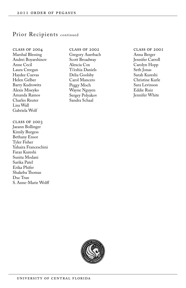### Prior Recipients continued

class of 2004 Marshal Blessing Andrei Boyarshinov Anne Cecil Laura Creegan Haydee Cuevas Helen Gelber Barry Kudrowitz Alexis Miseyko Amanda Ramos Charles Reuter Lisa Wall Gabriela Wolf

class of 2003 Jaeann Bollinger Kimily Burgess Bethany Ensor Tyler Fisher Yahaira Franceschini Faraz Kureshi Sunita Modani Sarika Patel Erika Phifer Shakeba Thomas Duc Tran S. Anne-Marie Wolff class of 2002 Gregory Auerbach Scott Broadway Alexcia Cox Ti'eshia Daniels Delia Goolsby Carol Mancero Peggy Moch Wayne Nguyen Sergey Polyakov Sandra Schaal

class of 2001 Anna Berger Jennifer Carroll Carolyn Hopp Seth Jonas Sarah Kureshi Christine Kurle Sara Levinson Eddie Ruiz Jennifer White

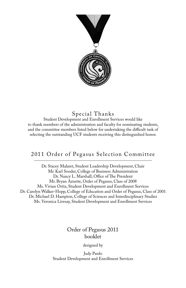

## Special Thanks

Student Development and Enrollment Services would like to thank members of the administration and faculty for nominating students, and the committee members listed below for undertaking the difficult task of selecting the outstanding UCF students receiving this distinguished honor.

## 2011 Order of Pegasus Selection Committee

Dr. Stacey Malaret, Student Leadership Development, Chair Mr. Karl Sooder, College of Business Administration Dr. Nancy L. Marshall, Office of The President Mr. Bryan Arnette, Order of Pegasus, Class of 2008 Ms. Vivian Ortiz, Student Development and Enrollment Services Dr. Carolyn Walker-Hopp, College of Education and Order of Pegasus, Class of 2001 Dr. Michael D. Hampton, College of Sciences and Interdisciplinary Studies Ms. Veronica Livesay, Student Development and Enrollment Services

## Order of Pegasus 2011 booklet

designed by

Judy Pardo Student Development and Enrollment Services